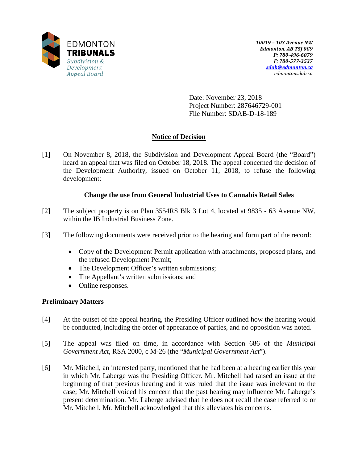

Date: November 23, 2018 Project Number: 287646729-001 File Number: SDAB-D-18-189

## **Notice of Decision**

[1] On November 8, 2018, the Subdivision and Development Appeal Board (the "Board") heard an appeal that was filed on October 18, 2018. The appeal concerned the decision of the Development Authority, issued on October 11, 2018, to refuse the following development:

## **Change the use from General Industrial Uses to Cannabis Retail Sales**

- [2] The subject property is on Plan 3554RS Blk 3 Lot 4, located at 9835 63 Avenue NW, within the IB Industrial Business Zone.
- [3] The following documents were received prior to the hearing and form part of the record:
	- Copy of the Development Permit application with attachments, proposed plans, and the refused Development Permit;
	- The Development Officer's written submissions;
	- The Appellant's written submissions; and
	- Online responses.

### **Preliminary Matters**

- [4] At the outset of the appeal hearing, the Presiding Officer outlined how the hearing would be conducted, including the order of appearance of parties, and no opposition was noted.
- [5] The appeal was filed on time, in accordance with Section 686 of the *Municipal Government Act*, RSA 2000, c M-26 (the "*Municipal Government Act*").
- [6] Mr. Mitchell, an interested party, mentioned that he had been at a hearing earlier this year in which Mr. Laberge was the Presiding Officer. Mr. Mitchell had raised an issue at the beginning of that previous hearing and it was ruled that the issue was irrelevant to the case; Mr. Mitchell voiced his concern that the past hearing may influence Mr. Laberge's present determination. Mr. Laberge advised that he does not recall the case referred to or Mr. Mitchell. Mr. Mitchell acknowledged that this alleviates his concerns.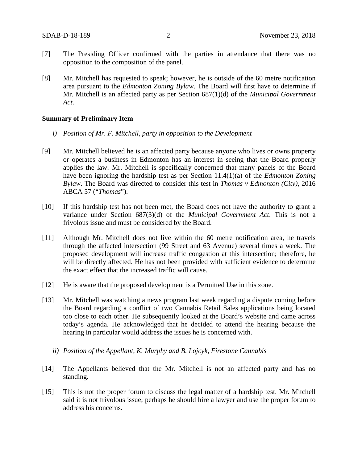- [7] The Presiding Officer confirmed with the parties in attendance that there was no opposition to the composition of the panel.
- [8] Mr. Mitchell has requested to speak; however, he is outside of the 60 metre notification area pursuant to the *Edmonton Zoning Bylaw*. The Board will first have to determine if Mr. Mitchell is an affected party as per Section 687(1)(d) of the *Municipal Government Act*.

### **Summary of Preliminary Item**

- *i) Position of Mr. F. Mitchell, party in opposition to the Development*
- [9] Mr. Mitchell believed he is an affected party because anyone who lives or owns property or operates a business in Edmonton has an interest in seeing that the Board properly applies the law. Mr. Mitchell is specifically concerned that many panels of the Board have been ignoring the hardship test as per Section 11.4(1)(a) of the *Edmonton Zoning Bylaw*. The Board was directed to consider this test in *Thomas v Edmonton (City)*, 2016 ABCA 57 ("*Thomas*").
- [10] If this hardship test has not been met, the Board does not have the authority to grant a variance under Section 687(3)(d) of the *Municipal Government Act*. This is not a frivolous issue and must be considered by the Board.
- [11] Although Mr. Mitchell does not live within the 60 metre notification area, he travels through the affected intersection (99 Street and 63 Avenue) several times a week. The proposed development will increase traffic congestion at this intersection; therefore, he will be directly affected. He has not been provided with sufficient evidence to determine the exact effect that the increased traffic will cause.
- [12] He is aware that the proposed development is a Permitted Use in this zone.
- [13] Mr. Mitchell was watching a news program last week regarding a dispute coming before the Board regarding a conflict of two Cannabis Retail Sales applications being located too close to each other. He subsequently looked at the Board's website and came across today's agenda. He acknowledged that he decided to attend the hearing because the hearing in particular would address the issues he is concerned with.
	- *ii) Position of the Appellant, K. Murphy and B. Lojcyk, Firestone Cannabis*
- [14] The Appellants believed that the Mr. Mitchell is not an affected party and has no standing.
- [15] This is not the proper forum to discuss the legal matter of a hardship test. Mr. Mitchell said it is not frivolous issue; perhaps he should hire a lawyer and use the proper forum to address his concerns.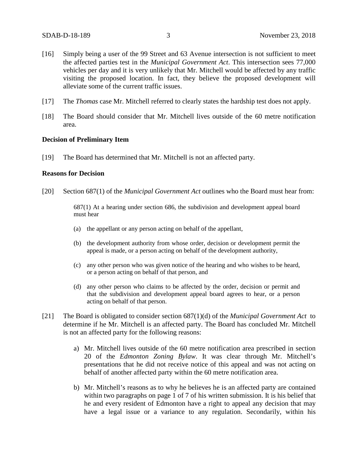- [16] Simply being a user of the 99 Street and 63 Avenue intersection is not sufficient to meet the affected parties test in the *Municipal Government Act*. This intersection sees 77,000 vehicles per day and it is very unlikely that Mr. Mitchell would be affected by any traffic visiting the proposed location. In fact, they believe the proposed development will alleviate some of the current traffic issues.
- [17] The *Thomas* case Mr. Mitchell referred to clearly states the hardship test does not apply.
- [18] The Board should consider that Mr. Mitchell lives outside of the 60 metre notification area.

#### **Decision of Preliminary Item**

[19] The Board has determined that Mr. Mitchell is not an affected party.

### **Reasons for Decision**

[20] Section 687(1) of the *Municipal Government Act* outlines who the Board must hear from:

687(1) At a hearing under section 686, the subdivision and development appeal board must hear

- (a) the appellant or any person acting on behalf of the appellant,
- (b) the development authority from whose order, decision or development permit the appeal is made, or a person acting on behalf of the development authority,
- (c) any other person who was given notice of the hearing and who wishes to be heard, or a person acting on behalf of that person, and
- (d) any other person who claims to be affected by the order, decision or permit and that the subdivision and development appeal board agrees to hear, or a person acting on behalf of that person.
- [21] The Board is obligated to consider section 687(1)(d) of the *Municipal Government Act* to determine if he Mr. Mitchell is an affected party. The Board has concluded Mr. Mitchell is not an affected party for the following reasons:
	- a) Mr. Mitchell lives outside of the 60 metre notification area prescribed in section 20 of the *Edmonton Zoning Bylaw*. It was clear through Mr. Mitchell's presentations that he did not receive notice of this appeal and was not acting on behalf of another affected party within the 60 metre notification area.
	- b) Mr. Mitchell's reasons as to why he believes he is an affected party are contained within two paragraphs on page 1 of 7 of his written submission. It is his belief that he and every resident of Edmonton have a right to appeal any decision that may have a legal issue or a variance to any regulation. Secondarily, within his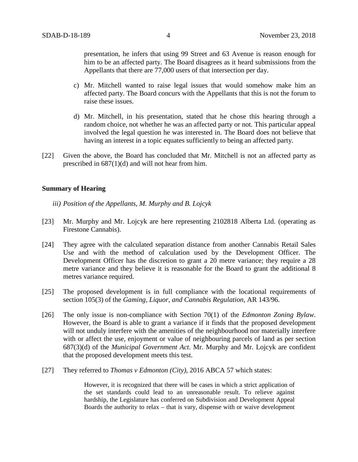presentation, he infers that using 99 Street and 63 Avenue is reason enough for him to be an affected party. The Board disagrees as it heard submissions from the Appellants that there are 77,000 users of that intersection per day.

- c) Mr. Mitchell wanted to raise legal issues that would somehow make him an affected party. The Board concurs with the Appellants that this is not the forum to raise these issues.
- d) Mr. Mitchell, in his presentation, stated that he chose this hearing through a random choice, not whether he was an affected party or not. This particular appeal involved the legal question he was interested in. The Board does not believe that having an interest in a topic equates sufficiently to being an affected party.
- [22] Given the above, the Board has concluded that Mr. Mitchell is not an affected party as prescribed in 687(1)(d) and will not hear from him.

### **Summary of Hearing**

- *iii) Position of the Appellants, M. Murphy and B. Lojcyk*
- [23] Mr. Murphy and Mr. Lojcyk are here representing 2102818 Alberta Ltd. (operating as Firestone Cannabis).
- [24] They agree with the calculated separation distance from another Cannabis Retail Sales Use and with the method of calculation used by the Development Officer. The Development Officer has the discretion to grant a 20 metre variance; they require a 28 metre variance and they believe it is reasonable for the Board to grant the additional 8 metres variance required.
- [25] The proposed development is in full compliance with the locational requirements of section 105(3) of the *Gaming, Liquor, and Cannabis Regulation,* AR 143/96.
- [26] The only issue is non-compliance with Section 70(1) of the *Edmonton Zoning Bylaw*. However, the Board is able to grant a variance if it finds that the proposed development will not unduly interfere with the amenities of the neighbourhood nor materially interfere with or affect the use, enjoyment or value of neighbouring parcels of land as per section 687(3)(d) of the *Municipal Government Act*. Mr. Murphy and Mr. Lojcyk are confident that the proposed development meets this test.
- [27] They referred to *Thomas v Edmonton (City)*, 2016 ABCA 57 which states:

 However, it is recognized that there will be cases in which a strict application of the set standards could lead to an unreasonable result. To relieve against hardship, the Legislature has conferred on Subdivision and Development Appeal Boards the authority to relax – that is vary, dispense with or waive development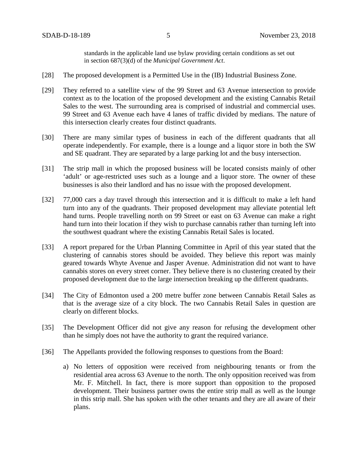standards in the applicable land use bylaw providing certain conditions as set out in section 687(3)(d) of the *Municipal Government Act*.

- [28] The proposed development is a Permitted Use in the (IB) Industrial Business Zone.
- [29] They referred to a satellite view of the 99 Street and 63 Avenue intersection to provide context as to the location of the proposed development and the existing Cannabis Retail Sales to the west. The surrounding area is comprised of industrial and commercial uses. 99 Street and 63 Avenue each have 4 lanes of traffic divided by medians. The nature of this intersection clearly creates four distinct quadrants.
- [30] There are many similar types of business in each of the different quadrants that all operate independently. For example, there is a lounge and a liquor store in both the SW and SE quadrant. They are separated by a large parking lot and the busy intersection.
- [31] The strip mall in which the proposed business will be located consists mainly of other 'adult' or age-restricted uses such as a lounge and a liquor store. The owner of these businesses is also their landlord and has no issue with the proposed development.
- [32] 77,000 cars a day travel through this intersection and it is difficult to make a left hand turn into any of the quadrants. Their proposed development may alleviate potential left hand turns. People travelling north on 99 Street or east on 63 Avenue can make a right hand turn into their location if they wish to purchase cannabis rather than turning left into the southwest quadrant where the existing Cannabis Retail Sales is located.
- [33] A report prepared for the Urban Planning Committee in April of this year stated that the clustering of cannabis stores should be avoided. They believe this report was mainly geared towards Whyte Avenue and Jasper Avenue. Administration did not want to have cannabis stores on every street corner. They believe there is no clustering created by their proposed development due to the large intersection breaking up the different quadrants.
- [34] The City of Edmonton used a 200 metre buffer zone between Cannabis Retail Sales as that is the average size of a city block. The two Cannabis Retail Sales in question are clearly on different blocks.
- [35] The Development Officer did not give any reason for refusing the development other than he simply does not have the authority to grant the required variance.
- [36] The Appellants provided the following responses to questions from the Board:
	- a) No letters of opposition were received from neighbouring tenants or from the residential area across 63 Avenue to the north. The only opposition received was from Mr. F. Mitchell. In fact, there is more support than opposition to the proposed development. Their business partner owns the entire strip mall as well as the lounge in this strip mall. She has spoken with the other tenants and they are all aware of their plans.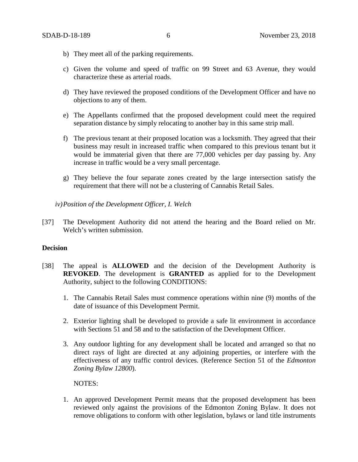- b) They meet all of the parking requirements.
- c) Given the volume and speed of traffic on 99 Street and 63 Avenue, they would characterize these as arterial roads.
- d) They have reviewed the proposed conditions of the Development Officer and have no objections to any of them.
- e) The Appellants confirmed that the proposed development could meet the required separation distance by simply relocating to another bay in this same strip mall.
- f) The previous tenant at their proposed location was a locksmith. They agreed that their business may result in increased traffic when compared to this previous tenant but it would be immaterial given that there are 77,000 vehicles per day passing by. Any increase in traffic would be a very small percentage.
- g) They believe the four separate zones created by the large intersection satisfy the requirement that there will not be a clustering of Cannabis Retail Sales.

*iv)Position of the Development Officer, I. Welch*

[37] The Development Authority did not attend the hearing and the Board relied on Mr. Welch's written submission.

### **Decision**

- [38] The appeal is **ALLOWED** and the decision of the Development Authority is **REVOKED**. The development is **GRANTED** as applied for to the Development Authority, subject to the following CONDITIONS:
	- 1. The Cannabis Retail Sales must commence operations within nine (9) months of the date of issuance of this Development Permit.
	- 2. Exterior lighting shall be developed to provide a safe lit environment in accordance with Sections 51 and 58 and to the satisfaction of the Development Officer.
	- 3. Any outdoor lighting for any development shall be located and arranged so that no direct rays of light are directed at any adjoining properties, or interfere with the effectiveness of any traffic control devices. (Reference Section 51 of the *Edmonton Zoning Bylaw 12800*).

NOTES:

1. An approved Development Permit means that the proposed development has been reviewed only against the provisions of the Edmonton Zoning Bylaw. It does not remove obligations to conform with other legislation, bylaws or land title instruments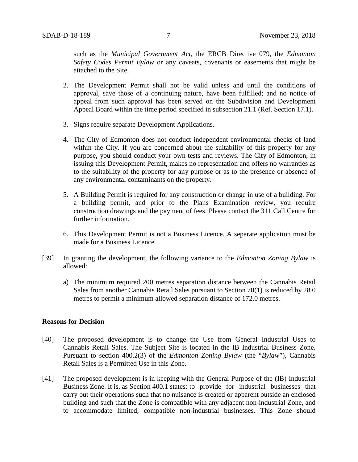such as the *Municipal Government Act*, the ERCB Directive 079, the *Edmonton Safety Codes Permit Bylaw* or any caveats, covenants or easements that might be attached to the Site.

- 2. The Development Permit shall not be valid unless and until the conditions of approval, save those of a continuing nature, have been fulfilled; and no notice of appeal from such approval has been served on the Subdivision and Development Appeal Board within the time period specified in subsection 21.1 (Ref. Section 17.1).
- 3. Signs require separate Development Applications.
- 4. The City of Edmonton does not conduct independent environmental checks of land within the City. If you are concerned about the suitability of this property for any purpose, you should conduct your own tests and reviews. The City of Edmonton, in issuing this Development Permit, makes no representation and offers no warranties as to the suitability of the property for any purpose or as to the presence or absence of any environmental contaminants on the property.
- 5. A Building Permit is required for any construction or change in use of a building. For a building permit, and prior to the Plans Examination review, you require construction drawings and the payment of fees. Please contact the 311 Call Centre for further information.
- 6. This Development Permit is not a Business Licence. A separate application must be made for a Business Licence.
- [39] In granting the development, the following variance to the *Edmonton Zoning Bylaw* is allowed:
	- a) The minimum required 200 metres separation distance between the Cannabis Retail Sales from another Cannabis Retail Sales pursuant to Section 70(1) is reduced by 28.0 metres to permit a minimum allowed separation distance of 172.0 metres.

### **Reasons for Decision**

- [40] The proposed development is to change the Use from General Industrial Uses to Cannabis Retail Sales. The Subject Site is located in the IB Industrial Business Zone. Pursuant to section 400.2(3) of the *Edmonton Zoning Bylaw* (the "*Bylaw*"), Cannabis Retail Sales is a Permitted Use in this Zone.
- [41] The proposed development is in keeping with the General Purpose of the (IB) Industrial Business Zone. It is, as Section 400.1 states: to provide for industrial businesses that carry out their operations such that no nuisance is created or apparent outside an enclosed building and such that the Zone is compatible with any adjacent non-industrial Zone, and to accommodate limited, compatible non-industrial businesses. This Zone should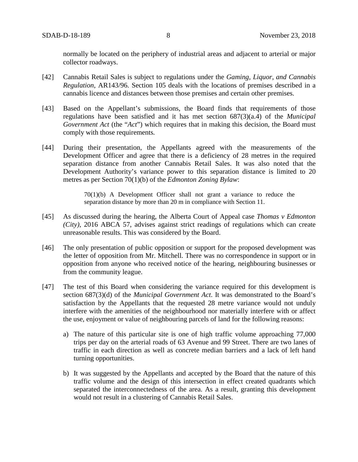normally be located on the periphery of industrial areas and adjacent to arterial or major collector roadways.

- [42] Cannabis Retail Sales is subject to regulations under the *Gaming, Liquor, and Cannabis Regulation*, AR143/96. Section 105 deals with the locations of premises described in a cannabis licence and distances between those premises and certain other premises.
- [43] Based on the Appellant's submissions, the Board finds that requirements of those regulations have been satisfied and it has met section 687(3)(a.4) of the *Municipal Government Act* (the "*Act*") which requires that in making this decision, the Board must comply with those requirements*.*
- [44] During their presentation, the Appellants agreed with the measurements of the Development Officer and agree that there is a deficiency of 28 metres in the required separation distance from another Cannabis Retail Sales. It was also noted that the Development Authority's variance power to this separation distance is limited to 20 metres as per Section 70(1)(b) of the *Edmonton Zoning Bylaw*:

70(1)(b) A Development Officer shall not grant a variance to reduce the separation distance by more than 20 m in compliance with Section 11.

- [45] As discussed during the hearing, the Alberta Court of Appeal case *Thomas v Edmonton (City)*, 2016 ABCA 57, advises against strict readings of regulations which can create unreasonable results. This was considered by the Board.
- [46] The only presentation of public opposition or support for the proposed development was the letter of opposition from Mr. Mitchell. There was no correspondence in support or in opposition from anyone who received notice of the hearing, neighbouring businesses or from the community league.
- [47] The test of this Board when considering the variance required for this development is section 687(3)(d) of the *Municipal Government Act*. It was demonstrated to the Board's satisfaction by the Appellants that the requested 28 metre variance would not unduly interfere with the amenities of the neighbourhood nor materially interfere with or affect the use, enjoyment or value of neighbouring parcels of land for the following reasons:
	- a) The nature of this particular site is one of high traffic volume approaching 77,000 trips per day on the arterial roads of 63 Avenue and 99 Street. There are two lanes of traffic in each direction as well as concrete median barriers and a lack of left hand turning opportunities.
	- b) It was suggested by the Appellants and accepted by the Board that the nature of this traffic volume and the design of this intersection in effect created quadrants which separated the interconnectedness of the area. As a result, granting this development would not result in a clustering of Cannabis Retail Sales.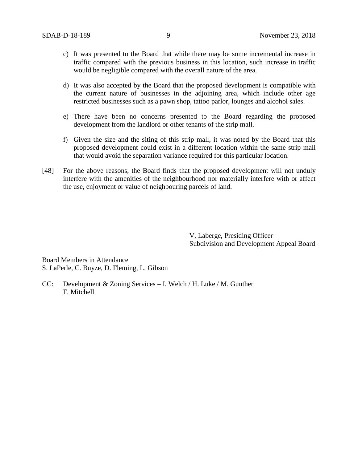- c) It was presented to the Board that while there may be some incremental increase in traffic compared with the previous business in this location, such increase in traffic would be negligible compared with the overall nature of the area.
- d) It was also accepted by the Board that the proposed development is compatible with the current nature of businesses in the adjoining area, which include other age restricted businesses such as a pawn shop, tattoo parlor, lounges and alcohol sales.
- e) There have been no concerns presented to the Board regarding the proposed development from the landlord or other tenants of the strip mall.
- f) Given the size and the siting of this strip mall, it was noted by the Board that this proposed development could exist in a different location within the same strip mall that would avoid the separation variance required for this particular location.
- [48] For the above reasons, the Board finds that the proposed development will not unduly interfere with the amenities of the neighbourhood nor materially interfere with or affect the use, enjoyment or value of neighbouring parcels of land.

V. Laberge, Presiding Officer Subdivision and Development Appeal Board

Board Members in Attendance S. LaPerle, C. Buyze, D. Fleming, L. Gibson

CC: Development & Zoning Services – I. Welch / H. Luke / M. Gunther F. Mitchell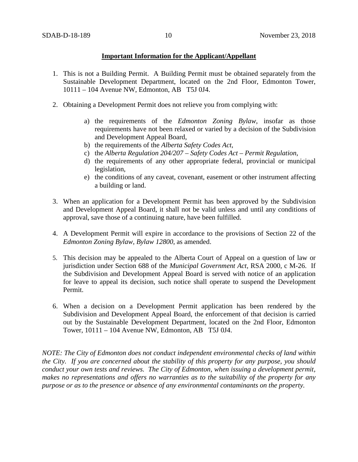### **Important Information for the Applicant/Appellant**

- 1. This is not a Building Permit. A Building Permit must be obtained separately from the Sustainable Development Department, located on the 2nd Floor, Edmonton Tower, 10111 – 104 Avenue NW, Edmonton, AB T5J 0J4.
- 2. Obtaining a Development Permit does not relieve you from complying with:
	- a) the requirements of the *Edmonton Zoning Bylaw*, insofar as those requirements have not been relaxed or varied by a decision of the Subdivision and Development Appeal Board,
	- b) the requirements of the *Alberta Safety Codes Act*,
	- c) the *Alberta Regulation 204/207 – Safety Codes Act – Permit Regulation*,
	- d) the requirements of any other appropriate federal, provincial or municipal legislation,
	- e) the conditions of any caveat, covenant, easement or other instrument affecting a building or land.
- 3. When an application for a Development Permit has been approved by the Subdivision and Development Appeal Board, it shall not be valid unless and until any conditions of approval, save those of a continuing nature, have been fulfilled.
- 4. A Development Permit will expire in accordance to the provisions of Section 22 of the *Edmonton Zoning Bylaw, Bylaw 12800*, as amended.
- 5. This decision may be appealed to the Alberta Court of Appeal on a question of law or jurisdiction under Section 688 of the *Municipal Government Act*, RSA 2000, c M-26. If the Subdivision and Development Appeal Board is served with notice of an application for leave to appeal its decision, such notice shall operate to suspend the Development Permit.
- 6. When a decision on a Development Permit application has been rendered by the Subdivision and Development Appeal Board, the enforcement of that decision is carried out by the Sustainable Development Department, located on the 2nd Floor, Edmonton Tower, 10111 – 104 Avenue NW, Edmonton, AB T5J 0J4.

*NOTE: The City of Edmonton does not conduct independent environmental checks of land within the City. If you are concerned about the stability of this property for any purpose, you should conduct your own tests and reviews. The City of Edmonton, when issuing a development permit, makes no representations and offers no warranties as to the suitability of the property for any purpose or as to the presence or absence of any environmental contaminants on the property.*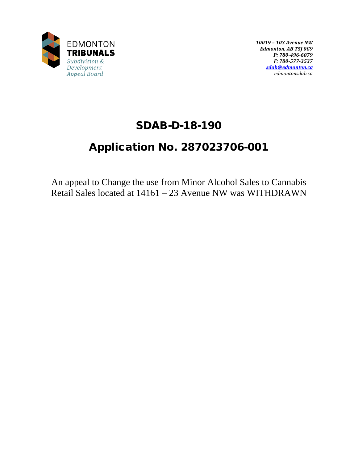

*10019 – 103 Avenue NW Edmonton, AB T5J 0G9 P: 780-496-6079 F: 780-577-3537 [sdab@edmonton.ca](mailto:sdab@edmonton.ca) edmontonsdab.ca*

## SDAB-D-18-190

# Application No. 287023706-001

An appeal to Change the use from Minor Alcohol Sales to Cannabis Retail Sales located at 14161 – 23 Avenue NW was WITHDRAWN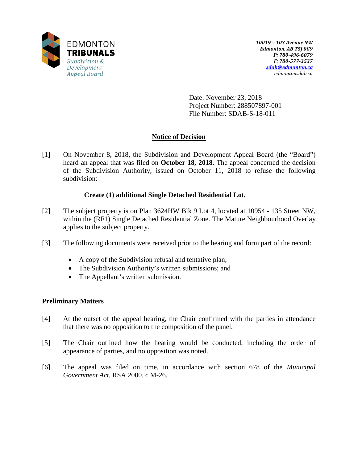

Date: November 23, 2018 Project Number: 288507897-001 File Number: SDAB-S-18-011

## **Notice of Decision**

[1] On November 8, 2018, the Subdivision and Development Appeal Board (the "Board") heard an appeal that was filed on **October 18, 2018**. The appeal concerned the decision of the Subdivision Authority, issued on October 11, 2018 to refuse the following subdivision:

## **Create (1) additional Single Detached Residential Lot.**

- [2] The subject property is on Plan 3624HW Blk 9 Lot 4, located at 10954 135 Street NW, within the (RF1) Single Detached Residential Zone. The Mature Neighbourhood Overlay applies to the subject property.
- [3] The following documents were received prior to the hearing and form part of the record:
	- A copy of the Subdivision refusal and tentative plan;
	- The Subdivision Authority's written submissions; and
	- The Appellant's written submission.

### **Preliminary Matters**

- [4] At the outset of the appeal hearing, the Chair confirmed with the parties in attendance that there was no opposition to the composition of the panel.
- [5] The Chair outlined how the hearing would be conducted, including the order of appearance of parties, and no opposition was noted.
- [6] The appeal was filed on time, in accordance with section 678 of the *Municipal Government Act*, RSA 2000, c M-26.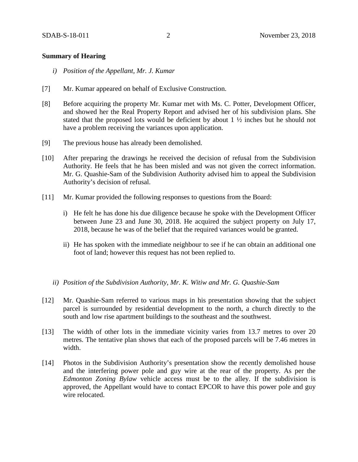### **Summary of Hearing**

- *i) Position of the Appellant, Mr. J. Kumar*
- [7] Mr. Kumar appeared on behalf of Exclusive Construction.
- [8] Before acquiring the property Mr. Kumar met with Ms. C. Potter, Development Officer, and showed her the Real Property Report and advised her of his subdivision plans. She stated that the proposed lots would be deficient by about 1 ½ inches but he should not have a problem receiving the variances upon application.
- [9] The previous house has already been demolished.
- [10] After preparing the drawings he received the decision of refusal from the Subdivision Authority. He feels that he has been misled and was not given the correct information. Mr. G. Quashie-Sam of the Subdivision Authority advised him to appeal the Subdivision Authority's decision of refusal.
- [11] Mr. Kumar provided the following responses to questions from the Board:
	- i) He felt he has done his due diligence because he spoke with the Development Officer between June 23 and June 30, 2018. He acquired the subject property on July 17, 2018, because he was of the belief that the required variances would be granted.
	- ii) He has spoken with the immediate neighbour to see if he can obtain an additional one foot of land; however this request has not been replied to.

### *ii) Position of the Subdivision Authority, Mr. K. Witiw and Mr. G. Quashie-Sam*

- [12] Mr. Quashie-Sam referred to various maps in his presentation showing that the subject parcel is surrounded by residential development to the north, a church directly to the south and low rise apartment buildings to the southeast and the southwest.
- [13] The width of other lots in the immediate vicinity varies from 13.7 metres to over 20 metres. The tentative plan shows that each of the proposed parcels will be 7.46 metres in width.
- [14] Photos in the Subdivision Authority's presentation show the recently demolished house and the interfering power pole and guy wire at the rear of the property. As per the *Edmonton Zoning Bylaw* vehicle access must be to the alley. If the subdivision is approved, the Appellant would have to contact EPCOR to have this power pole and guy wire relocated.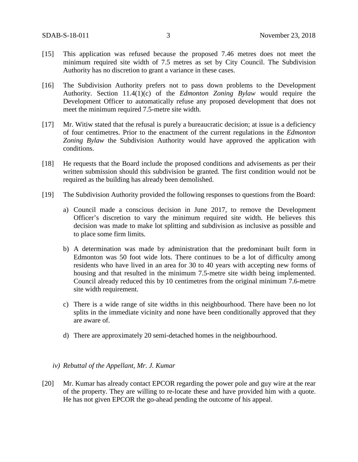- [15] This application was refused because the proposed 7.46 metres does not meet the minimum required site width of 7.5 metres as set by City Council. The Subdivision Authority has no discretion to grant a variance in these cases.
- [16] The Subdivision Authority prefers not to pass down problems to the Development Authority. Section 11.4(1)(c) of the *Edmonton Zoning Bylaw* would require the Development Officer to automatically refuse any proposed development that does not meet the minimum required 7.5-metre site width.
- [17] Mr. Witiw stated that the refusal is purely a bureaucratic decision; at issue is a deficiency of four centimetres. Prior to the enactment of the current regulations in the *Edmonton Zoning Bylaw* the Subdivision Authority would have approved the application with conditions.
- [18] He requests that the Board include the proposed conditions and advisements as per their written submission should this subdivision be granted. The first condition would not be required as the building has already been demolished.
- [19] The Subdivision Authority provided the following responses to questions from the Board:
	- a) Council made a conscious decision in June 2017, to remove the Development Officer's discretion to vary the minimum required site width. He believes this decision was made to make lot splitting and subdivision as inclusive as possible and to place some firm limits.
	- b) A determination was made by administration that the predominant built form in Edmonton was 50 foot wide lots. There continues to be a lot of difficulty among residents who have lived in an area for 30 to 40 years with accepting new forms of housing and that resulted in the minimum 7.5-metre site width being implemented. Council already reduced this by 10 centimetres from the original minimum 7.6-metre site width requirement.
	- c) There is a wide range of site widths in this neighbourhood. There have been no lot splits in the immediate vicinity and none have been conditionally approved that they are aware of.
	- d) There are approximately 20 semi-detached homes in the neighbourhood.
	- *iv) Rebuttal of the Appellant, Mr. J. Kumar*
- [20] Mr. Kumar has already contact EPCOR regarding the power pole and guy wire at the rear of the property. They are willing to re-locate these and have provided him with a quote. He has not given EPCOR the go-ahead pending the outcome of his appeal.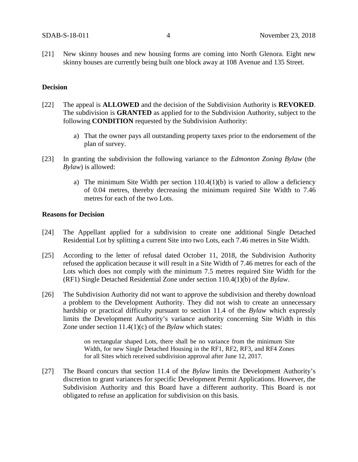[21] New skinny houses and new housing forms are coming into North Glenora. Eight new skinny houses are currently being built one block away at 108 Avenue and 135 Street.

### **Decision**

- [22] The appeal is **ALLOWED** and the decision of the Subdivision Authority is **REVOKED**. The subdivision is **GRANTED** as applied for to the Subdivision Authority, subject to the following **CONDITION** requested by the Subdivision Authority:
	- a) That the owner pays all outstanding property taxes prior to the endorsement of the plan of survey.
- [23] In granting the subdivision the following variance to the *Edmonton Zoning Bylaw* (the *Bylaw*) is allowed:
	- a) The minimum Site Width per section 110.4(1)(b) is varied to allow a deficiency of 0.04 metres, thereby decreasing the minimum required Site Width to 7.46 metres for each of the two Lots.

### **Reasons for Decision**

- [24] The Appellant applied for a subdivision to create one additional Single Detached Residential Lot by splitting a current Site into two Lots, each 7.46 metres in Site Width.
- [25] According to the letter of refusal dated October 11, 2018, the Subdivision Authority refused the application because it will result in a Site Width of 7.46 metres for each of the Lots which does not comply with the minimum 7.5 metres required Site Width for the (RF1) Single Detached Residential Zone under section 110.4(1)(b) of the *Bylaw*.
- [26] The Subdivision Authority did not want to approve the subdivision and thereby download a problem to the Development Authority. They did not wish to create an unnecessary hardship or practical difficulty pursuant to section 11.4 of the *Bylaw* which expressly limits the Development Authority's variance authority concerning Site Width in this Zone under section 11.4(1)(c) of the *Bylaw* which states:

on rectangular shaped Lots, there shall be no variance from the minimum Site Width, for new Single Detached Housing in the RF1, RF2, RF3, and RF4 Zones for all Sites which received subdivision approval after June 12, 2017.

[27] The Board concurs that section 11.4 of the *Bylaw* limits the Development Authority's discretion to grant variances for specific Development Permit Applications. However, the Subdivision Authority and this Board have a different authority. This Board is not obligated to refuse an application for subdivision on this basis.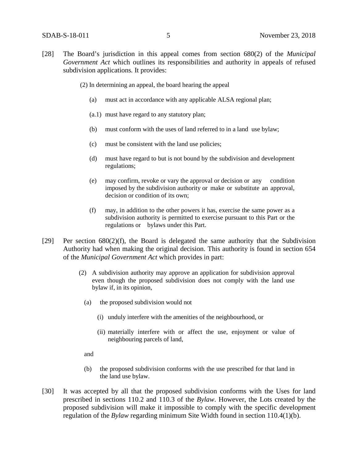- [28] The Board's jurisdiction in this appeal comes from section 680(2) of the *Municipal Government Act* which outlines its responsibilities and authority in appeals of refused subdivision applications*.* It provides:
	- (2) In determining an appeal, the board hearing the appeal
		- (a) must act in accordance with any applicable ALSA regional plan;
		- (a.1) must have regard to any statutory plan;
		- (b) must conform with the uses of land referred to in a land use bylaw;
		- (c) must be consistent with the land use policies;
		- (d) must have regard to but is not bound by the subdivision and development regulations;
		- (e) may confirm, revoke or vary the approval or decision or any condition imposed by the subdivision authority or make or substitute an approval, decision or condition of its own;
		- (f) may, in addition to the other powers it has, exercise the same power as a subdivision authority is permitted to exercise pursuant to this Part or the regulations or bylaws under this Part.
- [29] Per section  $680(2)(f)$ , the Board is delegated the same authority that the Subdivision Authority had when making the original decision. This authority is found in section 654 of the *Municipal Government Act* which provides in part:
	- (2) A subdivision authority may approve an application for subdivision approval even though the proposed subdivision does not comply with the land use bylaw if, in its opinion,
		- (a) the proposed subdivision would not
			- (i) unduly interfere with the amenities of the neighbourhood, or
			- (ii) materially interfere with or affect the use, enjoyment or value of neighbouring parcels of land,

and

- (b) the proposed subdivision conforms with the use prescribed for that land in the land use bylaw.
- [30] It was accepted by all that the proposed subdivision conforms with the Uses for land prescribed in sections 110.2 and 110.3 of the *Bylaw*. However, the Lots created by the proposed subdivision will make it impossible to comply with the specific development regulation of the *Bylaw* regarding minimum Site Width found in section 110.4(1)(b).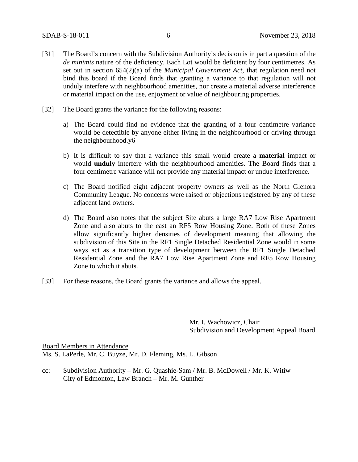- [31] The Board's concern with the Subdivision Authority's decision is in part a question of the *de minimis* nature of the deficiency. Each Lot would be deficient by four centimetres. As set out in section 654(2)(a) of the *Municipal Government Act*, that regulation need not bind this board if the Board finds that granting a variance to that regulation will not unduly interfere with neighbourhood amenities, nor create a material adverse interference or material impact on the use, enjoyment or value of neighbouring properties.
- [32] The Board grants the variance for the following reasons:
	- a) The Board could find no evidence that the granting of a four centimetre variance would be detectible by anyone either living in the neighbourhood or driving through the neighbourhood.y6
	- b) It is difficult to say that a variance this small would create a **material** impact or would **unduly** interfere with the neighbourhood amenities. The Board finds that a four centimetre variance will not provide any material impact or undue interference.
	- c) The Board notified eight adjacent property owners as well as the North Glenora Community League. No concerns were raised or objections registered by any of these adjacent land owners.
	- d) The Board also notes that the subject Site abuts a large RA7 Low Rise Apartment Zone and also abuts to the east an RF5 Row Housing Zone. Both of these Zones allow significantly higher densities of development meaning that allowing the subdivision of this Site in the RF1 Single Detached Residential Zone would in some ways act as a transition type of development between the RF1 Single Detached Residential Zone and the RA7 Low Rise Apartment Zone and RF5 Row Housing Zone to which it abuts.
- [33] For these reasons, the Board grants the variance and allows the appeal.

Mr. I. Wachowicz, Chair Subdivision and Development Appeal Board

Board Members in Attendance Ms. S. LaPerle, Mr. C. Buyze, Mr. D. Fleming, Ms. L. Gibson

cc: Subdivision Authority – Mr. G. Quashie-Sam / Mr. B. McDowell / Mr. K. Witiw City of Edmonton, Law Branch – Mr. M. Gunther